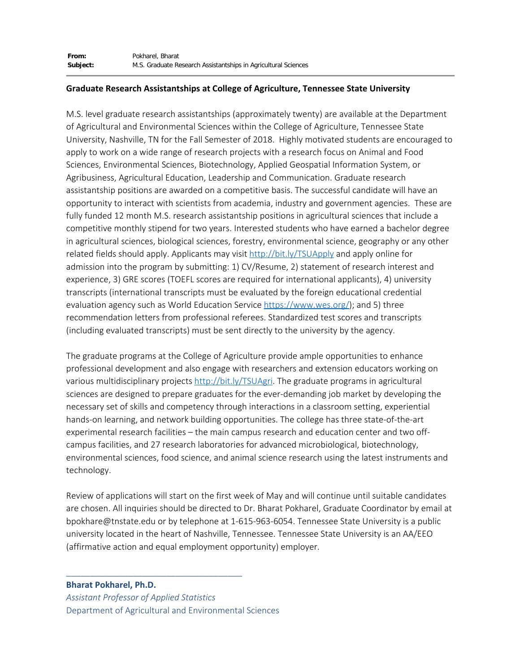## **Graduate Research Assistantships at College of Agriculture, Tennessee State University**

M.S. level graduate research assistantships (approximately twenty) are available at the Department of Agricultural and Environmental Sciences within the College of Agriculture, Tennessee State University, Nashville, TN for the Fall Semester of 2018. Highly motivated students are encouraged to apply to work on a wide range of research projects with a research focus on Animal and Food Sciences, Environmental Sciences, Biotechnology, Applied Geospatial Information System, or Agribusiness, Agricultural Education, Leadership and Communication. Graduate research assistantship positions are awarded on a competitive basis. The successful candidate will have an opportunity to interact with scientists from academia, industry and government agencies. These are fully funded 12 month M.S. research assistantship positions in agricultural sciences that include a competitive monthly stipend for two years. Interested students who have earned a bachelor degree in agricultural sciences, biological sciences, forestry, environmental science, geography or any other related fields should apply. Applicants may visit [http://bit.ly/TSUApply](https://urldefense.proofpoint.com/v2/url?u=http-3A__bit.ly_TSUApply&d=DwQFAg&c=Ngd-ta5yRYsqeUsEDgxhcqsYYY1Xs5ogLxWPA_2Wlc4&r=e2OJ1azRFn8ihJzb2HxZT0AqoiqLvxfeeaTyN59ZLoI&m=9WqwwRSSTbSb-8tqGhJn7nscHDZJeoL_8JxBbTqOVOM&s=RGSsETzfzH3CFagkg_EAX2lw4IxgYhNK_5cSdFyWGos&e=) and apply online for admission into the program by submitting: 1) CV/Resume, 2) statement of research interest and experience, 3) GRE scores (TOEFL scores are required for international applicants), 4) university transcripts (international transcripts must be evaluated by the foreign educational credential evaluation agency such as World Education Service [https://www.wes.org/](https://urldefense.proofpoint.com/v2/url?u=https-3A__www.wes.org_&d=DwQFAg&c=Ngd-ta5yRYsqeUsEDgxhcqsYYY1Xs5ogLxWPA_2Wlc4&r=e2OJ1azRFn8ihJzb2HxZT0AqoiqLvxfeeaTyN59ZLoI&m=9WqwwRSSTbSb-8tqGhJn7nscHDZJeoL_8JxBbTqOVOM&s=XRBW2bxrP-aMbewU7HRLcru-WXzX2xwaZ7MwXAdNsGI&e=)); and 5) three recommendation letters from professional referees. Standardized test scores and transcripts (including evaluated transcripts) must be sent directly to the university by the agency.

The graduate programs at the College of Agriculture provide ample opportunities to enhance professional development and also engage with researchers and extension educators working on various multidisciplinary projects [http://bit.ly/TSUAgri](https://urldefense.proofpoint.com/v2/url?u=http-3A__bit.ly_TSUAgri&d=DwQFAg&c=Ngd-ta5yRYsqeUsEDgxhcqsYYY1Xs5ogLxWPA_2Wlc4&r=e2OJ1azRFn8ihJzb2HxZT0AqoiqLvxfeeaTyN59ZLoI&m=9WqwwRSSTbSb-8tqGhJn7nscHDZJeoL_8JxBbTqOVOM&s=-NQP0UeAb0ygqgjpm7HC1hTRj-NS6iiHjsn4HLk1vic&e=). The graduate programs in agricultural sciences are designed to prepare graduates for the ever-demanding job market by developing the necessary set of skills and competency through interactions in a classroom setting, experiential hands-on learning, and network building opportunities. The college has three state-of-the-art experimental research facilities – the main campus research and education center and two offcampus facilities, and 27 research laboratories for advanced microbiological, biotechnology, environmental sciences, food science, and animal science research using the latest instruments and technology.

Review of applications will start on the first week of May and will continue until suitable candidates are chosen. All inquiries should be directed to Dr. Bharat Pokharel, Graduate Coordinator by email at bpokhare@tnstate.edu or by telephone at 1-615-963-6054. Tennessee State University is a public university located in the heart of Nashville, Tennessee. Tennessee State University is an AA/EEO (affirmative action and equal employment opportunity) employer.

**Bharat Pokharel, Ph.D.**  *Assistant Professor of Applied Statistics* Department of Agricultural and Environmental Sciences

\_\_\_\_\_\_\_\_\_\_\_\_\_\_\_\_\_\_\_\_\_\_\_\_\_\_\_\_\_\_\_\_\_\_\_\_\_